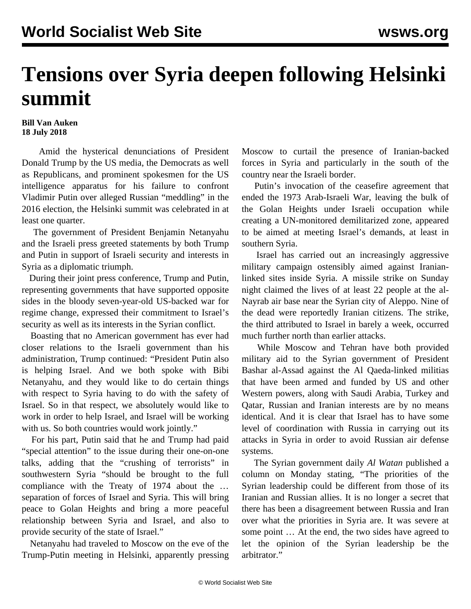## **Tensions over Syria deepen following Helsinki summit**

## **Bill Van Auken 18 July 2018**

 Amid the hysterical denunciations of President Donald Trump by the US media, the Democrats as well as Republicans, and prominent spokesmen for the US intelligence apparatus for his failure to confront Vladimir Putin over alleged Russian "meddling" in the 2016 election, the Helsinki summit was celebrated in at least one quarter.

 The government of President Benjamin Netanyahu and the Israeli press greeted statements by both Trump and Putin in support of Israeli security and interests in Syria as a diplomatic triumph.

 During their joint press conference, Trump and Putin, representing governments that have supported opposite sides in the bloody seven-year-old US-backed war for regime change, expressed their commitment to Israel's security as well as its interests in the Syrian conflict.

 Boasting that no American government has ever had closer relations to the Israeli government than his administration, Trump continued: "President Putin also is helping Israel. And we both spoke with Bibi Netanyahu, and they would like to do certain things with respect to Syria having to do with the safety of Israel. So in that respect, we absolutely would like to work in order to help Israel, and Israel will be working with us. So both countries would work jointly."

 For his part, Putin said that he and Trump had paid "special attention" to the issue during their one-on-one talks, adding that the "crushing of terrorists" in southwestern Syria "should be brought to the full compliance with the Treaty of 1974 about the … separation of forces of Israel and Syria. This will bring peace to Golan Heights and bring a more peaceful relationship between Syria and Israel, and also to provide security of the state of Israel."

 Netanyahu had traveled to Moscow on the eve of the Trump-Putin meeting in Helsinki, apparently pressing Moscow to curtail the presence of Iranian-backed forces in Syria and particularly in the south of the country near the Israeli border.

 Putin's invocation of the ceasefire agreement that ended the 1973 Arab-Israeli War, leaving the bulk of the Golan Heights under Israeli occupation while creating a UN-monitored demilitarized zone, appeared to be aimed at meeting Israel's demands, at least in southern Syria.

 Israel has carried out an increasingly aggressive military campaign ostensibly aimed against Iranianlinked sites inside Syria. A missile strike on Sunday night claimed the lives of at least 22 people at the al-Nayrab air base near the Syrian city of Aleppo. Nine of the dead were reportedly Iranian citizens. The strike, the third attributed to Israel in barely a week, occurred much further north than earlier attacks.

 While Moscow and Tehran have both provided military aid to the Syrian government of President Bashar al-Assad against the Al Qaeda-linked militias that have been armed and funded by US and other Western powers, along with Saudi Arabia, Turkey and Qatar, Russian and Iranian interests are by no means identical. And it is clear that Israel has to have some level of coordination with Russia in carrying out its attacks in Syria in order to avoid Russian air defense systems.

 The Syrian government daily *Al Watan* published a column on Monday stating, "The priorities of the Syrian leadership could be different from those of its Iranian and Russian allies. It is no longer a secret that there has been a disagreement between Russia and Iran over what the priorities in Syria are. It was severe at some point … At the end, the two sides have agreed to let the opinion of the Syrian leadership be the arbitrator."